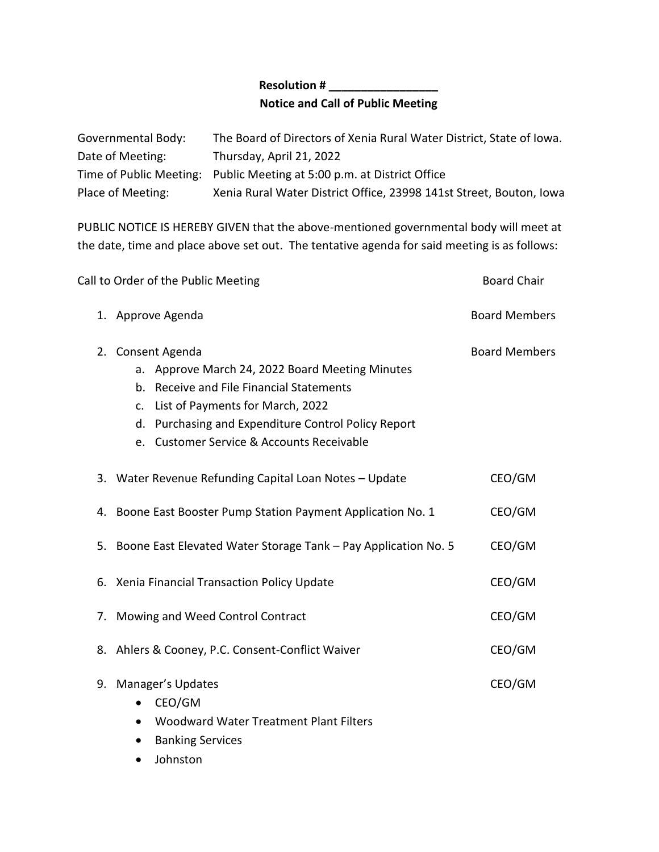## **Resolution # \_\_\_\_\_\_\_\_\_\_\_\_\_\_\_\_\_ Notice and Call of Public Meeting**

| Governmental Body: | The Board of Directors of Xenia Rural Water District, State of Iowa.   |
|--------------------|------------------------------------------------------------------------|
| Date of Meeting:   | Thursday, April 21, 2022                                               |
|                    | Time of Public Meeting: Public Meeting at 5:00 p.m. at District Office |
| Place of Meeting:  | Xenia Rural Water District Office, 23998 141st Street, Bouton, Iowa    |

PUBLIC NOTICE IS HEREBY GIVEN that the above-mentioned governmental body will meet at the date, time and place above set out. The tentative agenda for said meeting is as follows:

| Call to Order of the Public Meeting |                                                                                                                                                                                                                                                             | <b>Board Chair</b>   |
|-------------------------------------|-------------------------------------------------------------------------------------------------------------------------------------------------------------------------------------------------------------------------------------------------------------|----------------------|
|                                     | 1. Approve Agenda                                                                                                                                                                                                                                           | <b>Board Members</b> |
|                                     | 2. Consent Agenda<br>a. Approve March 24, 2022 Board Meeting Minutes<br>b. Receive and File Financial Statements<br>c. List of Payments for March, 2022<br>d. Purchasing and Expenditure Control Policy Report<br>e. Customer Service & Accounts Receivable | <b>Board Members</b> |
|                                     | 3. Water Revenue Refunding Capital Loan Notes - Update                                                                                                                                                                                                      | CEO/GM               |
|                                     | 4. Boone East Booster Pump Station Payment Application No. 1                                                                                                                                                                                                | CEO/GM               |
|                                     | 5. Boone East Elevated Water Storage Tank - Pay Application No. 5                                                                                                                                                                                           | CEO/GM               |
|                                     | 6. Xenia Financial Transaction Policy Update                                                                                                                                                                                                                | CEO/GM               |
|                                     | 7. Mowing and Weed Control Contract                                                                                                                                                                                                                         | CEO/GM               |
|                                     | 8. Ahlers & Cooney, P.C. Consent-Conflict Waiver                                                                                                                                                                                                            | CEO/GM               |
|                                     | 9. Manager's Updates<br>CEO/GM<br>٠<br>Woodward Water Treatment Plant Filters<br>$\bullet$<br><b>Banking Services</b>                                                                                                                                       | CEO/GM               |

• Johnston